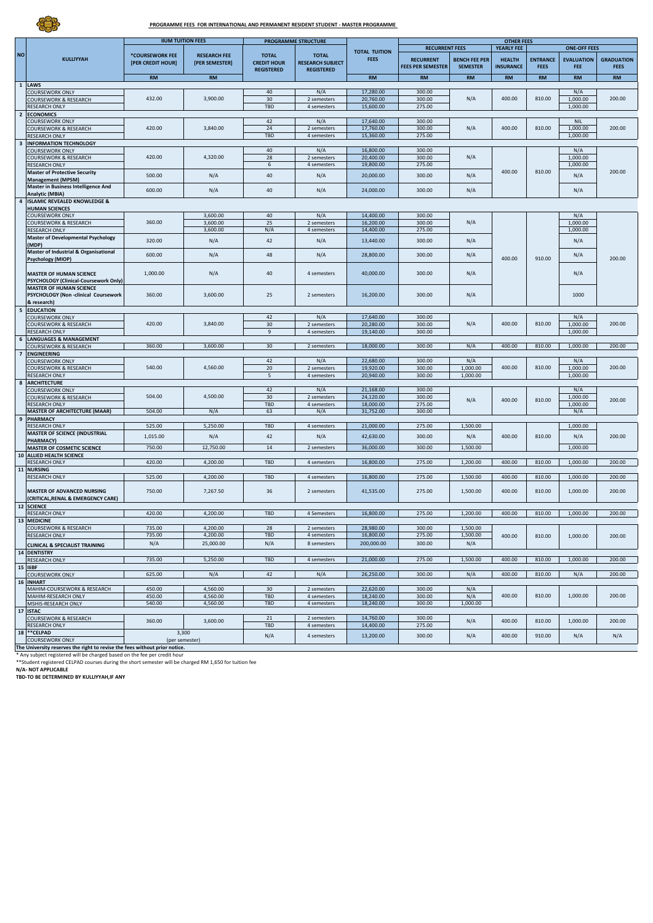**PROGRAMME FEES FOR INTERNATIONAL AND PERMANENT RESIDENT STUDENT - MASTER PROGRAMME** 

|                         |                                                                           |                                      | PROGRAMME STRUCTURE                   |                                                         |                                         |                                     |                                                                                 |                                         |                                   |                                |                                 |                                  |  |  |
|-------------------------|---------------------------------------------------------------------------|--------------------------------------|---------------------------------------|---------------------------------------------------------|-----------------------------------------|-------------------------------------|---------------------------------------------------------------------------------|-----------------------------------------|-----------------------------------|--------------------------------|---------------------------------|----------------------------------|--|--|
|                         |                                                                           |                                      | <b>IIUM TUITION FEES</b>              |                                                         |                                         |                                     | <b>OTHER FEES</b><br><b>RECURRENT FEES</b><br>YEARLY FEE<br><b>ONE-OFF FEES</b> |                                         |                                   |                                |                                 |                                  |  |  |
| <b>NO</b>               | <b>KULLIYYAH</b>                                                          | *COURSEWORK FEE<br>[PER CREDIT HOUR] | <b>RESEARCH FEE</b><br>[PER SEMESTER] | <b>TOTAL</b><br><b>CREDIT HOUR</b><br><b>REGISTERED</b> | <b>TOTAL</b><br><b>RESEARCH SUBJECT</b> | <b>TOTAL TUITION</b><br><b>FEES</b> | <b>RECURRENT</b><br><b>FEES PER SEMESTER</b>                                    | <b>BENCH FEE PER</b><br><b>SEMESTER</b> | <b>HEALTH</b><br><b>INSURANCE</b> | <b>ENTRANCE</b><br><b>FEES</b> | <b>EVALUATION</b><br><b>FEE</b> | <b>GRADUATION</b><br><b>FEES</b> |  |  |
|                         |                                                                           | <b>RM</b>                            | <b>RM</b>                             |                                                         | <b>REGISTERED</b>                       | <b>RM</b>                           | RM                                                                              | <b>RM</b>                               | <b>RM</b>                         | <b>RM</b>                      | <b>RM</b>                       | <b>RM</b>                        |  |  |
| $\mathbf 1$             | LAWS                                                                      |                                      |                                       |                                                         |                                         |                                     |                                                                                 |                                         |                                   |                                |                                 |                                  |  |  |
|                         | COURSEWORK ONLY                                                           |                                      |                                       | 40                                                      | N/A                                     | 17,280.00                           | 300.00                                                                          |                                         |                                   |                                | N/A                             |                                  |  |  |
|                         | COURSEWORK & RESEARCH<br>RESEARCH ONLY                                    | 432.00                               | 3,900.00                              | 30<br>TBD                                               | 2 semesters                             | 20,760.00<br>15,600.00              | 300.00<br>275.00                                                                | N/A                                     | 400.00                            | 810.00                         | 1,000.00<br>1,000.00            | 200.00                           |  |  |
| $\overline{2}$          | <b>ECONOMICS</b>                                                          |                                      |                                       |                                                         | 4 semesters                             |                                     |                                                                                 |                                         |                                   |                                |                                 |                                  |  |  |
|                         | COURSEWORK ONLY                                                           |                                      |                                       | 42                                                      | N/A                                     | 17,640.00                           | 300.00                                                                          |                                         |                                   |                                | <b>NIL</b>                      |                                  |  |  |
|                         | <b>COURSEWORK &amp; RESEARCH</b>                                          | 420.00                               | 3,840.00                              | 24                                                      | 2 semesters                             | 17,760.00                           | 300.00                                                                          | N/A                                     | 400.00                            | 810.00                         | 1,000.00                        | 200.00                           |  |  |
|                         | RESEARCH ONLY                                                             |                                      |                                       | TBD                                                     | 4 semesters                             | 15,360.00                           | 275.00                                                                          |                                         |                                   |                                | 1,000.00                        |                                  |  |  |
| $\overline{\mathbf{3}}$ | <b>INFORMATION TECHNOLOGY</b>                                             |                                      |                                       |                                                         |                                         |                                     |                                                                                 |                                         |                                   |                                |                                 |                                  |  |  |
|                         | <b>COURSEWORK ONLY</b>                                                    | 420.00                               | 4,320.00                              | 40<br>28                                                | N/A<br>2 semesters                      | 16,800.00<br>20,400.00              | 300.00<br>300.00                                                                | N/A                                     |                                   |                                | N/A<br>1,000.00                 |                                  |  |  |
|                         | <b>COURSEWORK &amp; RESEARCH</b><br><b>RESEARCH ONLY</b>                  |                                      |                                       | 6                                                       | 4 semesters                             | 19,800.00                           | 275.00                                                                          |                                         |                                   |                                | 1,000.00                        |                                  |  |  |
|                         | <b>Master of Protective Security</b>                                      | 500.00                               |                                       | 40                                                      |                                         | 20,000.00                           | 300.00                                                                          |                                         | 400.00                            | 810.00                         |                                 | 200.00                           |  |  |
|                         | <b>Management (MPSM)</b>                                                  |                                      | N/A                                   |                                                         | N/A                                     |                                     |                                                                                 | N/A                                     |                                   |                                | N/A                             |                                  |  |  |
|                         | Master in Business Intelligence And                                       | 600.00                               | N/A                                   | 40                                                      | N/A                                     | 24,000.00                           | 300.00                                                                          | N/A                                     |                                   |                                | N/A                             |                                  |  |  |
| 4                       | Analytic (MBIA)<br><b>ISLAMIC REVEALED KNOWLEDGE &amp;</b>                |                                      |                                       |                                                         |                                         |                                     |                                                                                 |                                         |                                   |                                |                                 |                                  |  |  |
|                         | <b>HUMAN SCIENCES</b>                                                     |                                      |                                       |                                                         |                                         |                                     |                                                                                 |                                         |                                   |                                |                                 |                                  |  |  |
|                         | <b>COURSEWORK ONLY</b>                                                    |                                      | 3,600.00                              | 40                                                      | N/A                                     | 14,400.00                           | 300.00                                                                          |                                         |                                   |                                | N/A                             |                                  |  |  |
|                         | <b>COURSEWORK &amp; RESEARCH</b>                                          | 360.00                               | 3,600.00                              | 25                                                      | 2 semesters                             | 16,200.00                           | 300.00                                                                          | N/A                                     |                                   |                                | 1,000.00                        |                                  |  |  |
|                         | <b>RESEARCH ONLY</b>                                                      |                                      | 3,600.00                              | N/A                                                     | 4 semesters                             | 14,400.00                           | 275.00                                                                          |                                         |                                   |                                | 1,000.00                        |                                  |  |  |
|                         | <b>Master of Developmental Psychology</b>                                 | 320.00                               | N/A                                   | 42                                                      | N/A                                     | 13,440.00                           | 300.00                                                                          | N/A                                     |                                   |                                | N/A                             |                                  |  |  |
|                         | (MDP)<br><b>Master of Industrial &amp; Organisational</b>                 |                                      |                                       |                                                         |                                         |                                     |                                                                                 |                                         |                                   |                                |                                 |                                  |  |  |
|                         | <b>Psychology (MIOP)</b>                                                  | 600.00                               | N/A                                   | 48                                                      | N/A                                     | 28,800.00                           | 300.00                                                                          | N/A                                     | 400.00                            | 910.00                         | N/A                             | 200.00                           |  |  |
|                         |                                                                           |                                      |                                       |                                                         |                                         |                                     |                                                                                 |                                         |                                   |                                |                                 |                                  |  |  |
|                         | <b>MASTER OF HUMAN SCIENCE</b>                                            | 1,000.00                             | N/A                                   | 40                                                      | 4 semesters                             | 40,000.00                           | 300.00                                                                          | N/A                                     |                                   |                                | N/A                             |                                  |  |  |
|                         | PSYCHOLOGY (Clinical-Coursework Only)                                     |                                      |                                       |                                                         |                                         |                                     |                                                                                 |                                         |                                   |                                |                                 |                                  |  |  |
|                         | <b>MASTER OF HUMAN SCIENCE</b><br>PSYCHOLOGY (Non-clinical Coursework     | 360.00                               | 3,600.00                              | 25                                                      | 2 semesters                             | 16,200.00                           | 300.00                                                                          | N/A                                     |                                   |                                | 1000                            |                                  |  |  |
|                         | & research)                                                               |                                      |                                       |                                                         |                                         |                                     |                                                                                 |                                         |                                   |                                |                                 |                                  |  |  |
| 5                       | <b>EDUCATION</b>                                                          |                                      |                                       |                                                         |                                         |                                     |                                                                                 |                                         |                                   |                                |                                 |                                  |  |  |
|                         | <b>COURSEWORK ONLY</b>                                                    |                                      |                                       | 42                                                      | N/A                                     | 17,640.00                           | 300.00                                                                          |                                         |                                   |                                | N/A                             |                                  |  |  |
|                         | <b>COURSEWORK &amp; RESEARCH</b>                                          | 420.00                               | 3,840.00                              | 30                                                      | 2 semesters                             | 20,280.00                           | 300.00                                                                          | N/A                                     | 400.00                            | 810.00                         | 1,000.00                        | 200.00                           |  |  |
|                         | RESEARCH ONLY<br><b>LANGUAGES &amp; MANAGEMENT</b>                        |                                      |                                       | 9                                                       | 4 semesters                             | 19,140.00                           | 300.00                                                                          |                                         |                                   |                                | 1,000.00                        |                                  |  |  |
| 6                       | COURSEWORK & RESEARCH                                                     | 360.00                               | 3,600.00                              | 30                                                      | 2 semesters                             | 18,000,00                           | 300.00                                                                          | N/A                                     | 400.00                            | 810.00                         | 1,000.00                        | 200.00                           |  |  |
| $\overline{7}$          | <b>ENGINEERING</b>                                                        |                                      |                                       |                                                         |                                         |                                     |                                                                                 |                                         |                                   |                                |                                 |                                  |  |  |
|                         | <b>COURSEWORK ONLY</b>                                                    |                                      |                                       | 42                                                      | N/A                                     | 22,680.00                           | 300.00                                                                          | N/A                                     |                                   |                                | N/A                             |                                  |  |  |
|                         | <b>COURSEWORK &amp; RESEARCH</b>                                          | 540.00                               | 4,560.00                              | 20                                                      | 2 semesters                             | 19,920.00                           | 300.00                                                                          | 1,000.00                                | 400.00                            | 810.00                         | 1,000.00                        | 200.00                           |  |  |
|                         | <b>RESEARCH ONLY</b>                                                      |                                      |                                       | 5                                                       | 4 semesters                             | 20,940.00                           | 300.00                                                                          | 1,000.00                                |                                   |                                | 1,000.00                        |                                  |  |  |
| 8                       | <b>ARCHITECTURE</b><br><b>COURSEWORK ONLY</b>                             |                                      |                                       | 42                                                      | N/A                                     | 21,168.00                           | 300.00                                                                          |                                         |                                   |                                | N/A                             |                                  |  |  |
|                         | COURSEWORK & RESEARCH                                                     | 504.00                               | 4,500.00                              | 30                                                      | 2 semesters                             | 24,120.00                           | 300.00                                                                          |                                         |                                   |                                | 1,000.00                        |                                  |  |  |
|                         | <b>RESEARCH ONLY</b>                                                      |                                      |                                       | TBD                                                     | 4 semesters                             | 18,000.00                           | 275.00                                                                          | N/A                                     | 400.00                            | 810.00                         | 1,000.00                        | 200.00                           |  |  |
|                         | <b>MASTER OF ARCHITECTURE (MAAR)</b>                                      | 504.00                               | N/A                                   | 63                                                      | N/A                                     | 31,752.00                           | 300.00                                                                          |                                         |                                   |                                | N/A                             |                                  |  |  |
| 9                       | <b>PHARMACY</b>                                                           |                                      |                                       |                                                         |                                         |                                     |                                                                                 |                                         |                                   |                                |                                 |                                  |  |  |
|                         | <b>RESEARCH ONLY</b><br><b>MASTER OF SCIENCE (INDUSTRIAL</b>              | 525.00                               | 5,250.00                              | TBD                                                     | 4 semesters                             | 21,000.00                           | 275.00                                                                          | 1,500.00                                |                                   |                                | 1,000.00                        |                                  |  |  |
|                         | <b>PHARMACY)</b>                                                          | 1,015.00                             | N/A                                   | 42                                                      | N/A                                     | 42,630.00                           | 300.00                                                                          | N/A                                     | 400.00                            | 810.00                         | N/A                             | 200.00                           |  |  |
|                         | <b>MASTER OF COSMETIC SCIENCE</b>                                         | 750.00                               | 12,750.00                             | 14                                                      | 2 semesters                             | 36,000.00                           | 300.00                                                                          | 1,500.00                                |                                   |                                | 1,000.00                        |                                  |  |  |
| 10                      | ALLIED HEALTH SCIENCE                                                     |                                      |                                       |                                                         |                                         |                                     |                                                                                 |                                         |                                   |                                |                                 |                                  |  |  |
|                         | RESEARCH ONLY                                                             | 420.00                               | 4,200.00                              | TBD                                                     | 4 semesters                             | 16,800.00                           | 275.00                                                                          | 1,200.00                                | 400.00                            | 810.00                         | 1,000.00                        | 200.00                           |  |  |
| 11                      | <b>NURSING</b><br><b>RESEARCH ONLY</b>                                    | 525.00                               | 4,200.00                              | TBD                                                     | 4 semesters                             | 16,800.00                           | 275.00                                                                          | 1,500.00                                | 400.00                            | 810.00                         | 1,000.00                        | 200.00                           |  |  |
|                         |                                                                           |                                      |                                       |                                                         |                                         |                                     |                                                                                 |                                         |                                   |                                |                                 |                                  |  |  |
|                         | MASTER OF ADVANCED NURSING                                                | 750.00                               | 7,267.50                              | 36                                                      | 2 semesters                             | 41,535.00                           | 275.00                                                                          | 1,500.00                                | 400.00                            | 810.00                         | 1,000.00                        | 200.00                           |  |  |
|                         | (CRITICAL, RENAL & EMERGENCY CARE)                                        |                                      |                                       |                                                         |                                         |                                     |                                                                                 |                                         |                                   |                                |                                 |                                  |  |  |
| 12                      | <b>SCIENCE</b>                                                            | 420.00                               | 4,200.00                              | TBD                                                     | 4 Semesters                             | 16,800.00                           | 275.00                                                                          | 1,200.00                                | 400.00                            | 810.00                         | 1,000.00                        | 200.00                           |  |  |
|                         | <b>RESEARCH ONLY</b><br>13 MEDICINE                                       |                                      |                                       |                                                         |                                         |                                     |                                                                                 |                                         |                                   |                                |                                 |                                  |  |  |
|                         | <b>COURSEWORK &amp; RESEARCH</b>                                          | 735.00                               | 4,200.00                              | 28                                                      | 2 semesters                             | 28,980.00                           | 300.00                                                                          | 1,500.00                                |                                   |                                |                                 |                                  |  |  |
|                         | <b>RESEARCH ONLY</b>                                                      | 735.00                               | 4,200.00                              | TBD                                                     | 4 semesters                             | 16,800.00                           | 275.00                                                                          | 1,500.00                                | 400.00                            | 810.00                         | 1,000.00                        | 200.00                           |  |  |
|                         | <b>CLINICAL &amp; SPECIALIST TRAINING</b>                                 | N/A                                  | 25,000.00                             | N/A                                                     | 8 semesters                             | 200,000.00                          | 300.00                                                                          | N/A                                     |                                   |                                |                                 |                                  |  |  |
|                         | 14 DENTISTRY                                                              |                                      |                                       |                                                         |                                         |                                     |                                                                                 |                                         |                                   |                                |                                 |                                  |  |  |
|                         | <b>RESEARCH ONLY</b>                                                      | 735.00                               | 5,250.00                              | TBD                                                     | 4 semesters                             | 21,000.00                           | 275.00                                                                          | 1,500.00                                | 400.00                            | 810.00                         | 1,000.00                        | 200.00                           |  |  |
|                         | 15 IIiBF                                                                  |                                      |                                       |                                                         |                                         |                                     |                                                                                 |                                         |                                   |                                |                                 |                                  |  |  |
|                         | <b>COURSEWORK ONLY</b><br>16 INHART                                       | 625.00                               | N/A                                   | 42                                                      | N/A                                     | 26,250.00                           | 300.00                                                                          | N/A                                     | 400.00                            | 810.00                         | N/A                             | 200.00                           |  |  |
|                         | MAHIM-COURSEWORK & RESEARCH                                               | 450.00                               | 4,560.00                              | 30                                                      | 2 semesters                             | 22,620.00                           | 300.00                                                                          | N/A                                     |                                   |                                |                                 |                                  |  |  |
|                         | MAHIM-RESEARCH ONLY                                                       | 450.00                               | 4,560.00                              | TBD                                                     | 4 semesters                             | 18,240.00                           | 300.00                                                                          | N/A                                     | 400.00                            | 810.00                         | 1,000.00                        | 200.00                           |  |  |
|                         | MSHIS-RESEARCH ONLY                                                       | 540.00                               | 4,560.00                              | TBD                                                     | 4 semesters                             | 18,240.00                           | 300.00                                                                          | 1,000.00                                |                                   |                                |                                 |                                  |  |  |
|                         | 17 ISTAC                                                                  |                                      |                                       |                                                         |                                         |                                     |                                                                                 |                                         |                                   |                                |                                 |                                  |  |  |
|                         | <b>COURSEWORK &amp; RESEARCH</b><br><b>RESEARCH ONLY</b>                  | 360.00                               | 3,600.00                              | 21                                                      | 2 semesters                             | 14,760.00                           | 300.00<br>275.00                                                                | N/A                                     | 400.00                            | 810.00                         | 1,000.00                        | 200.00                           |  |  |
|                         | 18 ** CELPAD                                                              | 3,300                                |                                       | TBD                                                     | 4 semesters                             | 14,400.00                           |                                                                                 |                                         |                                   |                                |                                 |                                  |  |  |
|                         | <b>COURSEWORK ONLY</b>                                                    | (per semester)                       |                                       | N/A                                                     | 4 semesters                             | 13,200.00                           | 300.00                                                                          | N/A                                     | 400.00                            | 910.00                         | N/A                             | N/A                              |  |  |
|                         | The University reserves the right to revise the fees without prior notice |                                      |                                       |                                                         |                                         |                                     |                                                                                 |                                         |                                   |                                |                                 |                                  |  |  |

\* Any subject registered will be charged based on the fee per credit hour<br>\*\*\$tudent registered CELPAD courses during the short semester will be charged RM 1,650 for tuition fee<br>N**/A- NOT APPILCABLE**<br>T**BD-TO BE DETERMINED B** 

EB